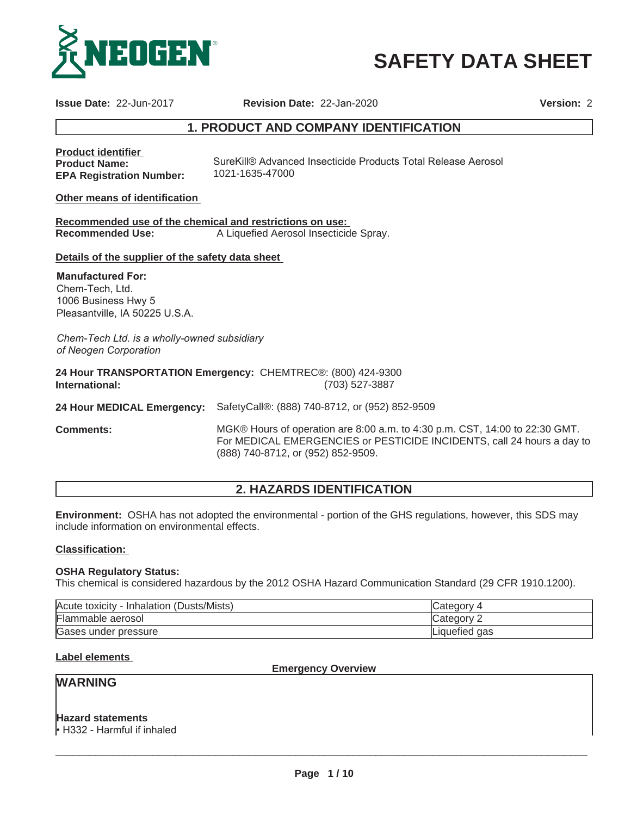

**SAFETY DATA SHEET**

**Issue Date:** 22-Jun-2017 **Revision Date:** 22-Jan-2020 **Version:** 2

# **1. PRODUCT AND COMPANY IDENTIFICATION**

**Product identifier Product Name: EPA Registration Number:** SureKill® Advanced Insecticide Products Total Release Aerosol 1021-1635-47000

**Other means of identification**

**Recommended use of the chemical and restrictions on use: Recommended Use:** A Liquefied Aerosol Insecticide Spray.

**Details of the supplier of the safety data sheet**

**Manufactured For:** Chem-Tech, Ltd. 1006 Business Hwy 5 Pleasantville, IA 50225 U.S.A.

*Chem-Tech Ltd. is a wholly-owned subsidiary of Neogen Corporation*

**24 Hour TRANSPORTATION Emergency:** CHEMTREC®: (800) 424-9300 **International:** (703) 527-3887

**24 Hour MEDICAL Emergency:** SafetyCall®: (888) 740-8712, or (952) 852-9509

**Comments:** MGK® Hours of operation are 8:00 a.m. to 4:30 p.m. CST, 14:00 to 22:30 GMT. For MEDICAL EMERGENCIES or PESTICIDE INCIDENTS, call 24 hours a day to (888) 740-8712, or (952) 852-9509.

# **2. HAZARDS IDENTIFICATION**

**Environment:** OSHA has not adopted the environmental - portion of the GHS regulations, however, this SDS may include information on environmental effects.

#### **Classification:**

#### **OSHA Regulatory Status:**

This chemical is considered hazardous by the 2012 OSHA Hazard Communication Standard (29 CFR 1910.1200).

| Acute toxicity<br>(Dusts/Mists)<br>/ - Inhalation | Category      |
|---------------------------------------------------|---------------|
| Flammable aerosol                                 | Category 1    |
| Gases under pressure                              | Liquefied gas |

# **Label elements**

**Emergency Overview**

# **WARNING**

**Hazard statements**

 $\cdot$  H332 - Harmful if inhaled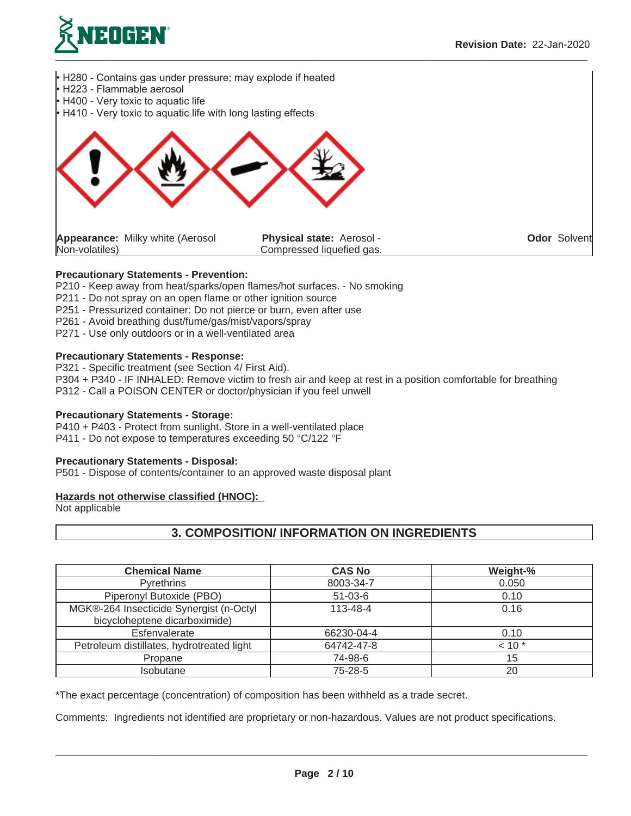



**Odor** Solvent

## **Precautionary Statements - Prevention:**

- P210 Keep away from heat/sparks/open flames/hot surfaces. No smoking
- P211 Do not spray on an open flame or other ignition source
- P251 Pressurized container: Do not pierce or burn, even after use
- P261 Avoid breathing dust/fume/gas/mist/vapors/spray
- P271 Use only outdoors or in a well-ventilated area

## **Precautionary Statements - Response:**

P321 - Specific treatment (see Section 4/ First Aid).

P304 + P340 - IF INHALED: Remove victim to fresh air and keep at rest in a position comfortable for breathing P312 - Call a POISON CENTER or doctor/physician if you feel unwell

#### **Precautionary Statements - Storage:**

P410 + P403 - Protect from sunlight. Store in a well-ventilated place P411 - Do not expose to temperatures exceeding 50 °C/122 °F

#### **Precautionary Statements - Disposal:**

P501 - Dispose of contents/container to an approved waste disposal plant

## **Hazards not otherwise classified (HNOC):**

Not applicable

# **3. COMPOSITION/ INFORMATION ON INGREDIENTS**

| <b>Chemical Name</b>                                                     | <b>CAS No</b> | Weight-% |
|--------------------------------------------------------------------------|---------------|----------|
| <b>Pyrethrins</b>                                                        | 8003-34-7     | 0.050    |
| Piperonyl Butoxide (PBO)                                                 | $51-03-6$     | 0.10     |
| MGK®-264 Insecticide Synergist (n-Octyl<br>bicycloheptene dicarboximide) | 113-48-4      | 0.16     |
| Esfenvalerate                                                            | 66230-04-4    | 0.10     |
| Petroleum distillates, hydrotreated light                                | 64742-47-8    | $10*$    |
| Propane                                                                  | 74-98-6       | 15       |
| Isobutane                                                                | 75-28-5       | 20       |

\*The exact percentage (concentration) of composition has been withheld as a trade secret.

Comments: Ingredients not identified are proprietary or non-hazardous. Values are not product specifications.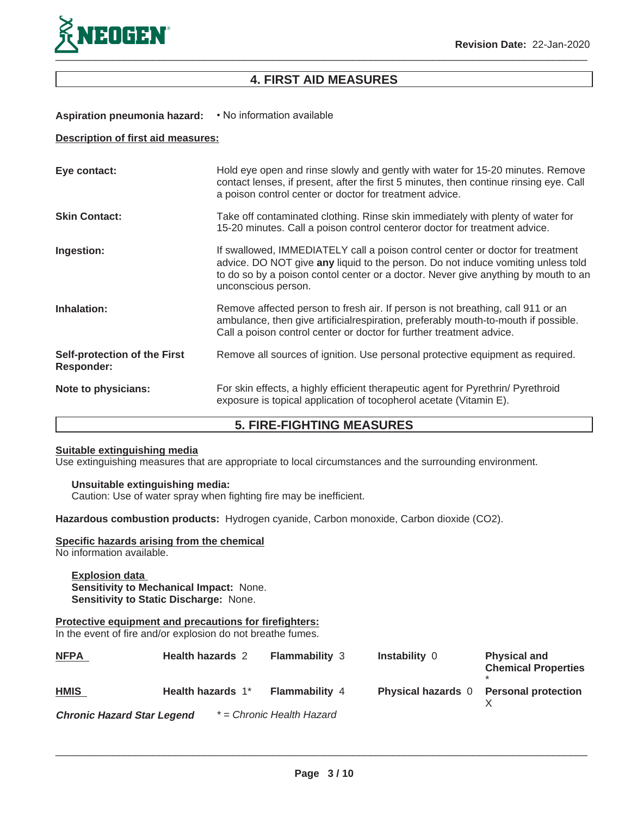

# **4. FIRST AID MEASURES**

# Aspiration pneumonia hazard: • No information available

## **Description of first aid measures:**

| Eye contact:                                      | Hold eye open and rinse slowly and gently with water for 15-20 minutes. Remove<br>contact lenses, if present, after the first 5 minutes, then continue rinsing eye. Call<br>a poison control center or doctor for treatment advice.                                             |
|---------------------------------------------------|---------------------------------------------------------------------------------------------------------------------------------------------------------------------------------------------------------------------------------------------------------------------------------|
| <b>Skin Contact:</b>                              | Take off contaminated clothing. Rinse skin immediately with plenty of water for<br>15-20 minutes. Call a poison control centeror doctor for treatment advice.                                                                                                                   |
| Ingestion:                                        | If swallowed, IMMEDIATELY call a poison control center or doctor for treatment<br>advice. DO NOT give any liquid to the person. Do not induce vomiting unless told<br>to do so by a poison contol center or a doctor. Never give anything by mouth to an<br>unconscious person. |
| Inhalation:                                       | Remove affected person to fresh air. If person is not breathing, call 911 or an<br>ambulance, then give artificial respiration, preferably mouth-to-mouth if possible.<br>Call a poison control center or doctor for further treatment advice.                                  |
| Self-protection of the First<br><b>Responder:</b> | Remove all sources of ignition. Use personal protective equipment as required.                                                                                                                                                                                                  |
| Note to physicians:                               | For skin effects, a highly efficient therapeutic agent for Pyrethrin/ Pyrethroid<br>exposure is topical application of tocopherol acetate (Vitamin E).                                                                                                                          |

# **5. FIRE-FIGHTING MEASURES**

# **Suitable extinguishing media**

Use extinguishing measures that are appropriate to local circumstances and the surrounding environment.

## **Unsuitable extinguishing media:**

Caution: Use of water spray when fighting fire may be inefficient.

**Hazardous combustion products:** Hydrogen cyanide, Carbon monoxide, Carbon dioxide (CO2).

#### **Specific hazards arising from the chemical**

No information available.

## **Explosion data Sensitivity to Mechanical Impact:** None. **Sensitivity to Static Discharge:** None.

**Protective equipment and precautions for firefighters:** In the event of fire and/or explosion do not breathe fumes.

| <b>NFPA</b>                       | <b>Health hazards 2</b> | <b>Flammability</b> 3     | <b>Instability 0</b>      | <b>Physical and</b><br><b>Chemical Properties</b> |
|-----------------------------------|-------------------------|---------------------------|---------------------------|---------------------------------------------------|
| <b>HMIS</b>                       | Health hazards 1*       | <b>Flammability 4</b>     | <b>Physical hazards</b> 0 | <b>Personal protection</b>                        |
| <b>Chronic Hazard Star Legend</b> |                         | * = Chronic Health Hazard |                           |                                                   |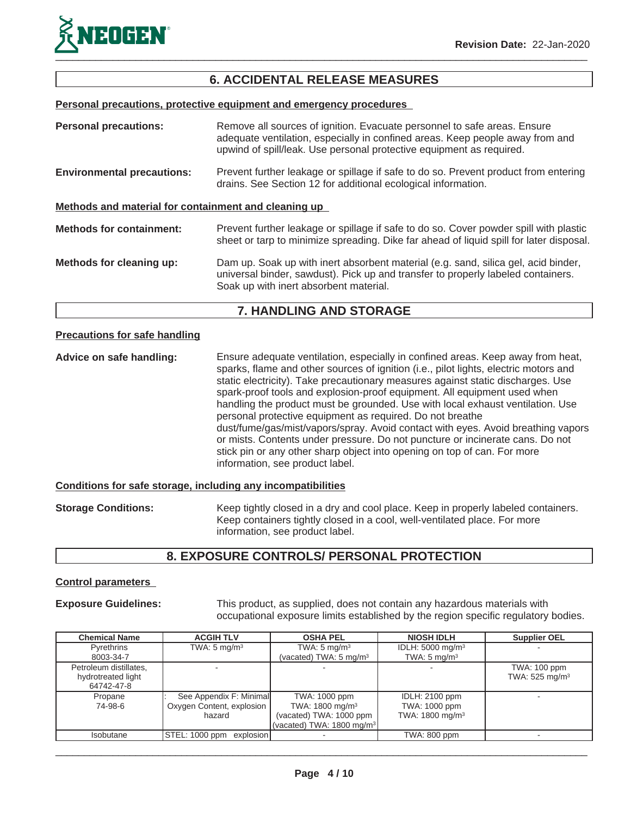

# **6. ACCIDENTAL RELEASE MEASURES**

**Personal precautions, protective equipment and emergency procedures**

| <b>Personal precautions:</b>                         | Remove all sources of ignition. Evacuate personnel to safe areas. Ensure<br>adequate ventilation, especially in confined areas. Keep people away from and<br>upwind of spill/leak. Use personal protective equipment as required. |
|------------------------------------------------------|-----------------------------------------------------------------------------------------------------------------------------------------------------------------------------------------------------------------------------------|
| <b>Environmental precautions:</b>                    | Prevent further leakage or spillage if safe to do so. Prevent product from entering<br>drains. See Section 12 for additional ecological information.                                                                              |
| Methods and material for containment and cleaning up |                                                                                                                                                                                                                                   |
| <b>Methods for containment:</b>                      | Prevent further leakage or spillage if safe to do so. Cover powder spill with plastic<br>sheet or tarp to minimize spreading. Dike far ahead of liquid spill for later disposal.                                                  |
| Methods for cleaning up:                             | Dam up. Soak up with inert absorbent material (e.g. sand, silica gel, acid binder,<br>universal binder, sawdust). Pick up and transfer to properly labeled containers.<br>Soak up with inert absorbent material.                  |

# **7. HANDLING AND STORAGE**

# **Precautions for safe handling**

**Advice on safe handling:** Ensure adequate ventilation, especially in confined areas. Keep away from heat, sparks, flame and other sources of ignition (i.e., pilot lights, electric motors and static electricity). Take precautionary measures against static discharges. Use spark-proof tools and explosion-proof equipment. All equipment used when handling the product must be grounded. Use with local exhaust ventilation. Use personal protective equipment as required. Do not breathe dust/fume/gas/mist/vapors/spray. Avoid contact with eyes. Avoid breathing vapors or mists. Contents under pressure. Do not puncture or incinerate cans. Do not stick pin or any other sharp object into opening on top of can. For more information, see product label.

## **Conditions for safe storage, including any incompatibilities**

**Storage Conditions:** Keep tightly closed in a dry and cool place. Keep in properly labeled containers. Keep containers tightly closed in a cool, well-ventilated place. For more information, see product label.

# **8. EXPOSURE CONTROLS/ PERSONAL PROTECTION**

## **Control parameters**

**Exposure Guidelines:** This product, as supplied, does not contain any hazardous materials with occupational exposure limits established by the region specific regulatory bodies.

| <b>Chemical Name</b>   | <b>ACGIH TLV</b>            | <b>OSHA PEL</b>                      | <b>NIOSH IDLH</b>            | <b>Supplier OEL</b>        |
|------------------------|-----------------------------|--------------------------------------|------------------------------|----------------------------|
| <b>Pyrethrins</b>      | TWA: $5 \text{ mg/m}^3$     | TWA: $5 \text{ mg/m}^3$              | IDLH: 5000 mg/m <sup>3</sup> |                            |
| 8003-34-7              |                             | (vacated) TWA: 5 mg/m <sup>3</sup>   | TWA: $5 \text{ mg/m}^3$      |                            |
| Petroleum distillates, |                             |                                      |                              | TWA: 100 ppm               |
| hydrotreated light     |                             |                                      |                              | TWA: 525 mg/m <sup>3</sup> |
| 64742-47-8             |                             |                                      |                              |                            |
| Propane                | See Appendix F: Minimal     | TWA: 1000 ppm                        | <b>IDLH: 2100 ppm</b>        |                            |
| 74-98-6                | Oxygen Content, explosion   | TWA: 1800 mg/m <sup>3</sup>          | TWA: 1000 ppm                |                            |
|                        | hazard                      | (vacated) TWA: 1000 ppm              | TWA: 1800 mg/m <sup>3</sup>  |                            |
|                        |                             | (vacated) TWA: $1800 \text{ mg/m}^3$ |                              |                            |
| <b>Isobutane</b>       | STEL: 1000 ppm<br>explosion |                                      | TWA: 800 ppm                 |                            |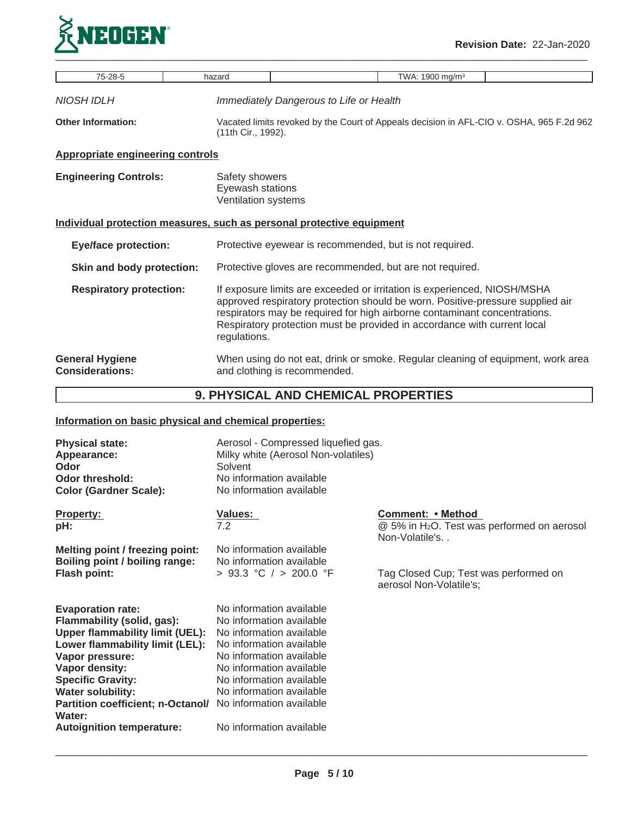

| 75-28-5                                                               | hazard                                                    |                                                                                                                                                                                                                                                                                                                     | TWA: 1900 mg/m <sup>3</sup> |  |
|-----------------------------------------------------------------------|-----------------------------------------------------------|---------------------------------------------------------------------------------------------------------------------------------------------------------------------------------------------------------------------------------------------------------------------------------------------------------------------|-----------------------------|--|
| NIOSH IDLH                                                            |                                                           | Immediately Dangerous to Life or Health                                                                                                                                                                                                                                                                             |                             |  |
| <b>Other Information:</b>                                             |                                                           | Vacated limits revoked by the Court of Appeals decision in AFL-CIO v. OSHA, 965 F.2d 962<br>(11th Cir., 1992).                                                                                                                                                                                                      |                             |  |
| <b>Appropriate engineering controls</b>                               |                                                           |                                                                                                                                                                                                                                                                                                                     |                             |  |
| <b>Engineering Controls:</b>                                          | Safety showers<br>Eyewash stations<br>Ventilation systems |                                                                                                                                                                                                                                                                                                                     |                             |  |
| Individual protection measures, such as personal protective equipment |                                                           |                                                                                                                                                                                                                                                                                                                     |                             |  |
| <b>Eye/face protection:</b>                                           |                                                           | Protective eyewear is recommended, but is not required.                                                                                                                                                                                                                                                             |                             |  |
| Skin and body protection:                                             |                                                           | Protective gloves are recommended, but are not required.                                                                                                                                                                                                                                                            |                             |  |
| <b>Respiratory protection:</b>                                        | regulations.                                              | If exposure limits are exceeded or irritation is experienced, NIOSH/MSHA<br>approved respiratory protection should be worn. Positive-pressure supplied air<br>respirators may be required for high airborne contaminant concentrations.<br>Respiratory protection must be provided in accordance with current local |                             |  |
| <b>General Hygiene</b><br><b>Considerations:</b>                      |                                                           | When using do not eat, drink or smoke. Regular cleaning of equipment, work area<br>and clothing is recommended.                                                                                                                                                                                                     |                             |  |
| 9. PHYSICAL AND CHEMICAL PROPERTIES                                   |                                                           |                                                                                                                                                                                                                                                                                                                     |                             |  |

# **Information on basic physical and chemical properties:**

| <b>Physical state:</b><br>Appearance:<br>Odor<br>Odor threshold:<br><b>Color (Gardner Scale):</b>                                                                                                                                                                                                                   | Aerosol - Compressed liquefied gas.<br>Milky white (Aerosol Non-volatiles)<br>Solvent<br>No information available<br>No information available                                                                                                                                        |                                                                                                |
|---------------------------------------------------------------------------------------------------------------------------------------------------------------------------------------------------------------------------------------------------------------------------------------------------------------------|--------------------------------------------------------------------------------------------------------------------------------------------------------------------------------------------------------------------------------------------------------------------------------------|------------------------------------------------------------------------------------------------|
| <b>Property:</b><br>pH:                                                                                                                                                                                                                                                                                             | <b>Values:</b><br>7.2                                                                                                                                                                                                                                                                | Comment: • Method<br>@ 5% in H <sub>2</sub> O. Test was performed on aerosol<br>Non-Volatile's |
| Melting point / freezing point:<br>Boiling point / boiling range:<br><b>Flash point:</b>                                                                                                                                                                                                                            | No information available<br>No information available<br>> 93.3 °C / > 200.0 °F                                                                                                                                                                                                       | Tag Closed Cup; Test was performed on<br>aerosol Non-Volatile's;                               |
| <b>Evaporation rate:</b><br>Flammability (solid, gas):<br><b>Upper flammability limit (UEL):</b><br>Lower flammability limit (LEL):<br>Vapor pressure:<br>Vapor density:<br><b>Specific Gravity:</b><br><b>Water solubility:</b><br>Partition coefficient; n-Octanol/<br>Water:<br><b>Autoignition temperature:</b> | No information available<br>No information available<br>No information available<br>No information available<br>No information available<br>No information available<br>No information available<br>No information available<br>No information available<br>No information available |                                                                                                |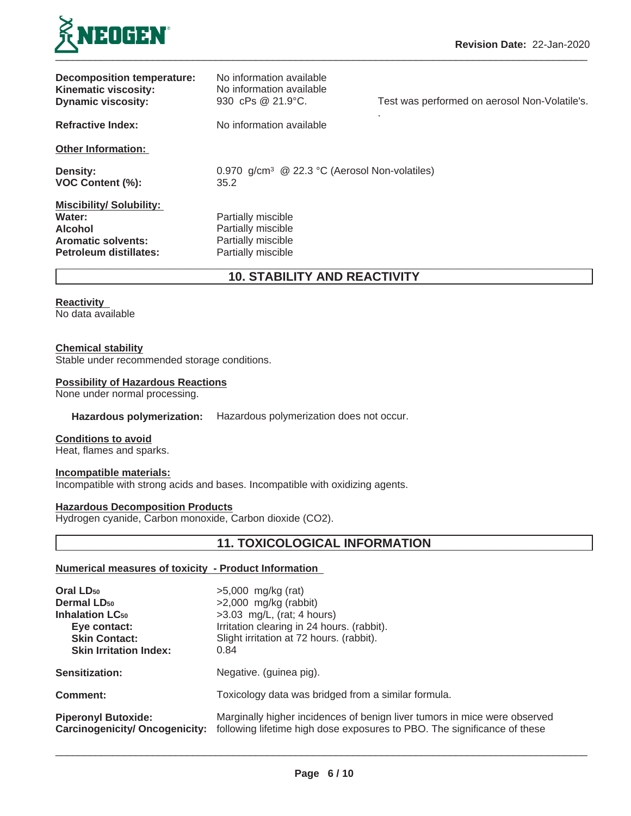

| Decomposition temperature:<br><b>Kinematic viscosity:</b><br><b>Dynamic viscosity:</b>                            | No information available<br>No information available<br>930 cPs @ 21.9°C.            | Test was performed on aerosol Non-Volatile's. |
|-------------------------------------------------------------------------------------------------------------------|--------------------------------------------------------------------------------------|-----------------------------------------------|
| <b>Refractive Index:</b>                                                                                          | No information available                                                             |                                               |
| <b>Other Information:</b>                                                                                         |                                                                                      |                                               |
| <b>Density:</b><br>VOC Content (%):                                                                               | 0.970 g/cm <sup>3</sup> @ 22.3 °C (Aerosol Non-volatiles)<br>35.2                    |                                               |
| <b>Miscibility/Solubility:</b><br>Water:<br><b>Alcohol</b><br><b>Aromatic solvents:</b><br>Petroleum distillates: | Partially miscible<br>Partially miscible<br>Partially miscible<br>Partially miscible |                                               |

**10. STABILITY AND REACTIVITY**

### **Reactivity**

No data available

#### **Chemical stability**

Stable under recommended storage conditions.

#### **Possibility of Hazardous Reactions**

None under normal processing.

# **Hazardous polymerization:** Hazardous polymerization does not occur.

#### **Conditions to avoid**

Heat, flames and sparks.

## **Incompatible materials:**

Incompatible with strong acids and bases. Incompatible with oxidizing agents.

# **Hazardous Decomposition Products**

Hydrogen cyanide, Carbon monoxide, Carbon dioxide (CO2).

# **11. TOXICOLOGICAL INFORMATION**

# **Numerical measures of toxicity - Product Information**

| Oral LD <sub>50</sub>             | $>5,000$ mg/kg (rat)                                                                                                                                                                 |
|-----------------------------------|--------------------------------------------------------------------------------------------------------------------------------------------------------------------------------------|
| <b>Dermal LD<sub>50</sub></b>     | $>2,000$ mg/kg (rabbit)                                                                                                                                                              |
| <b>Inhalation LC<sub>50</sub></b> | $>3.03$ mg/L, (rat; 4 hours)                                                                                                                                                         |
| Eye contact:                      | Irritation clearing in 24 hours. (rabbit).                                                                                                                                           |
| <b>Skin Contact:</b>              | Slight irritation at 72 hours. (rabbit).                                                                                                                                             |
| <b>Skin Irritation Index:</b>     | 0.84                                                                                                                                                                                 |
| <b>Sensitization:</b>             | Negative. (guinea pig).                                                                                                                                                              |
| Comment:                          | Toxicology data was bridged from a similar formula.                                                                                                                                  |
| <b>Piperonyl Butoxide:</b>        | Marginally higher incidences of benign liver tumors in mice were observed<br>Carcinogenicity/ Oncogenicity: following lifetime high dose exposures to PBO. The significance of these |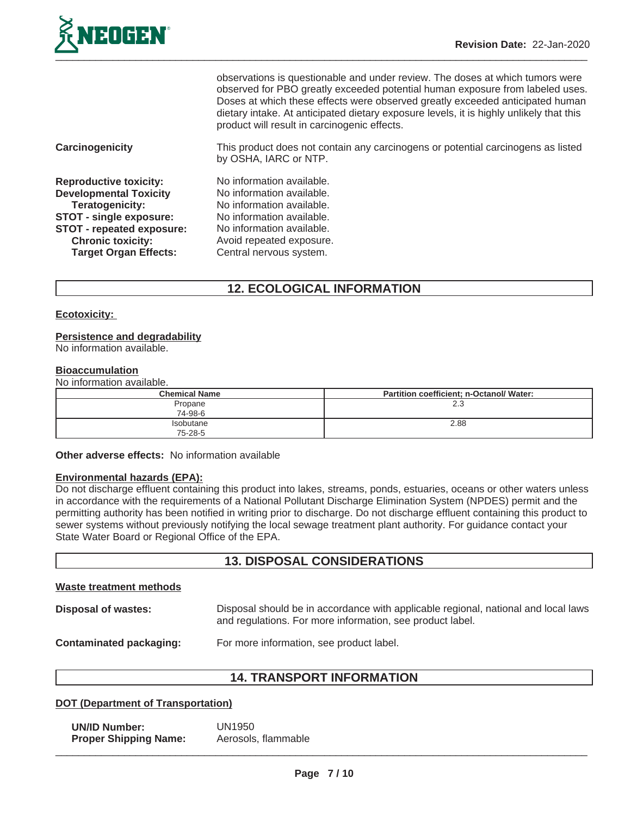

|                                  | observations is questionable and under review. The doses at which tumors were<br>observed for PBO greatly exceeded potential human exposure from labeled uses.<br>Doses at which these effects were observed greatly exceeded anticipated human<br>dietary intake. At anticipated dietary exposure levels, it is highly unlikely that this<br>product will result in carcinogenic effects. |
|----------------------------------|--------------------------------------------------------------------------------------------------------------------------------------------------------------------------------------------------------------------------------------------------------------------------------------------------------------------------------------------------------------------------------------------|
| <b>Carcinogenicity</b>           | This product does not contain any carcinogens or potential carcinogens as listed<br>by OSHA, IARC or NTP.                                                                                                                                                                                                                                                                                  |
| <b>Reproductive toxicity:</b>    | No information available.                                                                                                                                                                                                                                                                                                                                                                  |
| <b>Developmental Toxicity</b>    | No information available.                                                                                                                                                                                                                                                                                                                                                                  |
| Teratogenicity:                  | No information available.                                                                                                                                                                                                                                                                                                                                                                  |
| <b>STOT - single exposure:</b>   | No information available.                                                                                                                                                                                                                                                                                                                                                                  |
| <b>STOT - repeated exposure:</b> | No information available.                                                                                                                                                                                                                                                                                                                                                                  |
| <b>Chronic toxicity:</b>         | Avoid repeated exposure.                                                                                                                                                                                                                                                                                                                                                                   |
| <b>Target Organ Effects:</b>     | Central nervous system.                                                                                                                                                                                                                                                                                                                                                                    |

# **12. ECOLOGICAL INFORMATION**

## **Ecotoxicity:**

#### **Persistence and degradability**

No information available.

#### **Bioaccumulation**

No information available.

| <b>Chemical Name</b>        | Partition coefficient; n-Octanol/ Water: |
|-----------------------------|------------------------------------------|
| Propane<br>74-98-6          | 2.3                                      |
| <b>Isobutane</b><br>75-28-5 | 2.88                                     |

### **Other adverse effects:** No information available

#### **Environmental hazards (EPA):**

Do not discharge effluent containing this product into lakes, streams, ponds, estuaries, oceans or other waters unless in accordance with the requirements of a National Pollutant Discharge Elimination System (NPDES) permit and the permitting authority has been notified in writing prior to discharge. Do not discharge effluent containing this product to sewer systems without previously notifying the local sewage treatment plant authority. For guidance contact your State Water Board or Regional Office of the EPA.

# **13. DISPOSAL CONSIDERATIONS**

#### **Waste treatment methods**

**Disposal of wastes:** Disposal should be in accordance with applicable regional, national and local laws and regulations. For more information, see product label.

**Contaminated packaging:** For more information, see product label.

# **14. TRANSPORT INFORMATION**

## **DOT (Department of Transportation)**

**UN/ID Number:** UN1950<br>**Proper Shipping Name:** Aerosols, flammable **Proper Shipping Name:**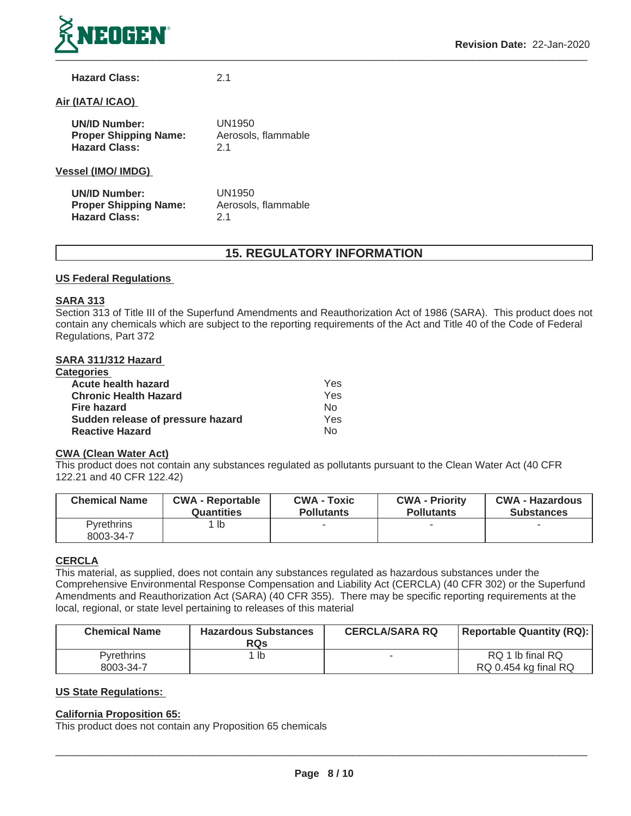

## **Hazard Class:** 2.1

## **Air (IATA/ ICAO)**

| <b>UN/ID Number:</b><br><b>Proper Shipping Name:</b><br><b>Hazard Class:</b> | UN1950<br>Aerosols, flammable<br>21 |
|------------------------------------------------------------------------------|-------------------------------------|
| <b>Vessel (IMO/ IMDG)</b>                                                    |                                     |
| <b>UN/ID Number:</b><br><b>Proper Shipping Name:</b><br><b>Hazard Class:</b> | UN1950<br>Aerosols, flammable       |

# **15. REGULATORY INFORMATION**

#### **US Federal Regulations**

#### **SARA 313**

Section 313 of Title III of the Superfund Amendments and Reauthorization Act of 1986 (SARA). This product does not contain any chemicals which are subject to the reporting requirements of the Act and Title 40 of the Code of Federal Regulations, Part 372

## **SARA 311/312 Hazard**

| <b>Categories</b>                 |            |
|-----------------------------------|------------|
| <b>Acute health hazard</b>        | <b>Yes</b> |
| <b>Chronic Health Hazard</b>      | Yes        |
| Fire hazard                       | No         |
| Sudden release of pressure hazard | Yes        |
| <b>Reactive Hazard</b>            | Nο         |

#### **CWA (Clean Water Act)**

This product does not contain any substances regulated as pollutants pursuant to the Clean Water Act (40 CFR 122.21 and 40 CFR 122.42)

| <b>Chemical Name</b>           | <b>CWA - Reportable</b> | <b>CWA - Toxic</b> | <b>CWA - Priority</b> | <b>CWA - Hazardous</b> |
|--------------------------------|-------------------------|--------------------|-----------------------|------------------------|
|                                | Quantities              | <b>Pollutants</b>  | <b>Pollutants</b>     | <b>Substances</b>      |
| <b>Pyrethrins</b><br>8003-34-7 | 1 lb                    |                    |                       |                        |

## **CERCLA**

This material, as supplied, does not contain any substances regulated as hazardous substances under the Comprehensive Environmental Response Compensation and Liability Act (CERCLA) (40 CFR 302) or the Superfund Amendments and Reauthorization Act (SARA) (40 CFR 355). There may be specific reporting requirements at the local, regional, or state level pertaining to releases of this material

| <b>Chemical Name</b>           | <b>Hazardous Substances</b><br><b>RQs</b> | <b>CERCLA/SARA RQ</b> | <b>Reportable Quantity (RQ):</b>         |
|--------------------------------|-------------------------------------------|-----------------------|------------------------------------------|
| <b>Pyrethrins</b><br>8003-34-7 | lb                                        |                       | RQ 1 lb final RQ<br>RQ 0.454 kg final RQ |

# **US State Regulations:**

## **California Proposition 65:**

This product does not contain any Proposition 65 chemicals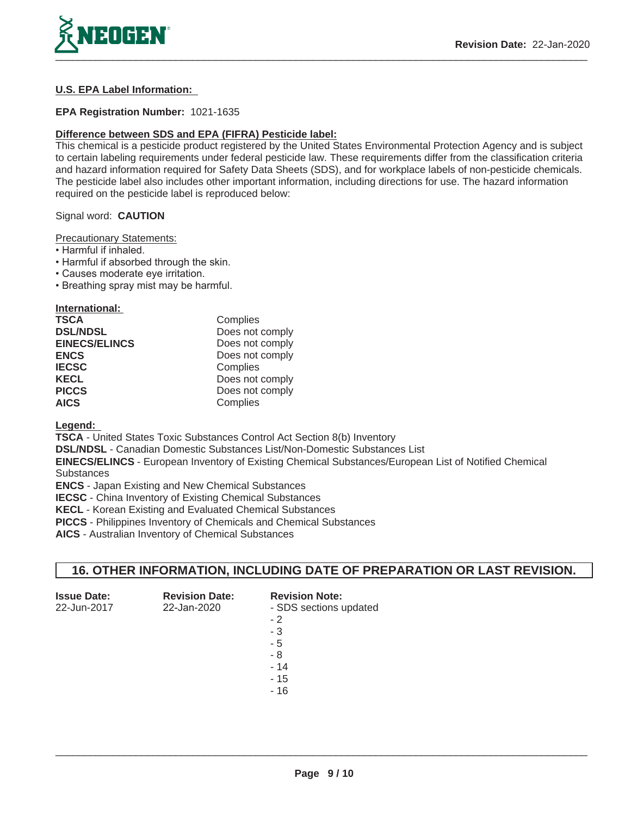

# **U.S. EPA Label Information:**

## **EPA Registration Number:** 1021-1635

## **Difference between SDS and EPA (FIFRA) Pesticide label:**

This chemical is a pesticide product registered by the United States Environmental Protection Agency and is subject to certain labeling requirements under federal pesticide law. These requirements differ from the classification criteria and hazard information required for Safety Data Sheets (SDS), and for workplace labels of non-pesticide chemicals. The pesticide label also includes other important information, including directions for use. The hazard information required on the pesticide label is reproduced below:

## Signal word: **CAUTION**

Precautionary Statements:

- Harmful if inhaled.
- Harmful if absorbed through the skin.
- Causes moderate eye irritation.
- . Breathing spray mist may be harmful.

| International:       |                 |
|----------------------|-----------------|
| <b>TSCA</b>          | Complies        |
| <b>DSL/NDSL</b>      | Does not comply |
| <b>EINECS/ELINCS</b> | Does not comply |
| <b>ENCS</b>          | Does not comply |
| <b>IECSC</b>         | Complies        |
| <b>KECL</b>          | Does not comply |
| <b>PICCS</b>         | Does not comply |
| <b>AICS</b>          | Complies        |

**Legend:**

**TSCA** - United States Toxic Substances Control Act Section 8(b) Inventory

**DSL/NDSL** - Canadian Domestic Substances List/Non-Domestic Substances List

**EINECS/ELINCS** - European Inventory of Existing Chemical Substances/European List of Notified Chemical **Substances** 

**ENCS** - Japan Existing and New Chemical Substances

**IECSC** - China Inventory of Existing Chemical Substances

**KECL** - Korean Existing and Evaluated Chemical Substances

**PICCS** - Philippines Inventory of Chemicals and Chemical Substances

**AICS** - Australian Inventory of Chemical Substances

# **16. OTHER INFORMATION, INCLUDING DATE OF PREPARATION OR LAST REVISION.**

| <b>Issue Date:</b> | <b>Revision Date:</b> | <b>Revision Note:</b>  |
|--------------------|-----------------------|------------------------|
| 22-Jun-2017        | 22-Jan-2020           | - SDS sections updated |
|                    |                       | $-2$                   |
|                    |                       | - 3                    |
|                    |                       | - 5                    |
|                    |                       | - 8                    |
|                    |                       | $-14$                  |
|                    |                       | $-15$                  |
|                    |                       | - 16                   |